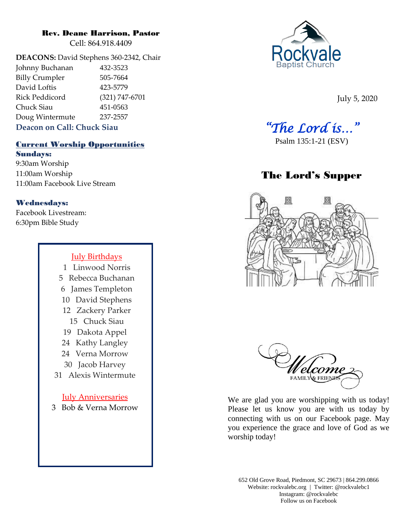## Rev. Deane Harrison, Pastor

Cell: 864.918.4409

**DEACONS:** David Stephens 360-2342, Chair Johnny Buchanan 432-3523 Billy Crumpler 505-7664 David Loftis 423-5779 Rick Peddicord (321) 747-6701 Chuck Siau 451-0563 Doug Wintermute 237-2557 **Deacon on Call: Chuck Siau**

# Current Worship Opportunities Sundays:

9:30am Worship 11:00am Worship 11:00am Facebook Live Stream

# Wednesdays:

Facebook Livestream: 6:30pm Bible Study

# July Birthdays

1 Linwood Norris 5 Rebecca Buchanan 6 James Templeton 10 David Stephens 12 Zackery Parker 15 Chuck Siau 19 Dakota Appel 24 Kathy Langley 24 Verna Morrow 30 Jacob Harvey 31 Alexis Wintermute July Anniversaries 3 Bob & Verna Morrow



July 5, 2020

*"The Lord is…"* 

# The Lord's Supper





We are glad you are worshipping with us today! Please let us know you are with us today by connecting with us on our Facebook page. May you experience the grace and love of God as we worship today!

652 Old Grove Road, Piedmont, SC 29673 | 864.299.0866 Website: rockvalebc.org *|* Twitter: @rockvalebc1 Instagram: @rockvalebc Follow us on Facebook

Psalm 135:1-21 (ESV)